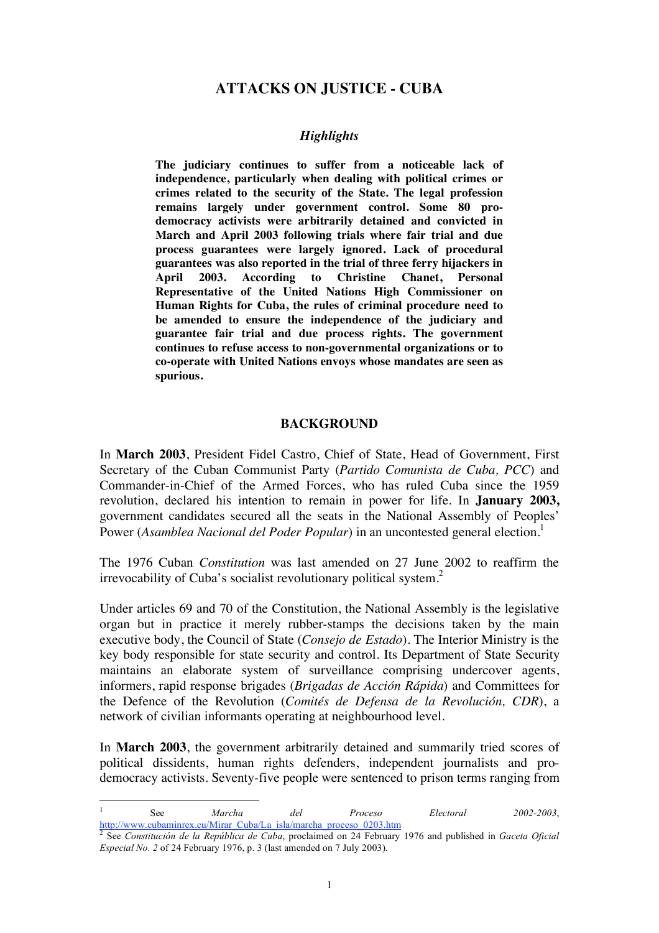# **ATTACKS ON JUSTICE - CUBA**

### *Highlights*

**The judiciary continues to suffer from a noticeable lack of independence, particularly when dealing with political crimes or crimes related to the security of the State. The legal profession remains largely under government control. Some 80 prodemocracy activists were arbitrarily detained and convicted in March and April 2003 following trials where fair trial and due process guarantees were largely ignored. Lack of procedural guarantees was also reported in the trial of three ferry hijackers in April 2003. According to Christine Chanet, Personal Representative of the United Nations High Commissioner on Human Rights for Cuba, the rules of criminal procedure need to be amended to ensure the independence of the judiciary and guarantee fair trial and due process rights. The government continues to refuse access to non-governmental organizations or to co-operate with United Nations envoys whose mandates are seen as spurious.** 

#### **BACKGROUND**

In **March 2003**, President Fidel Castro, Chief of State, Head of Government, First Secretary of the Cuban Communist Party (*Partido Comunista de Cuba, PCC*) and Commander-in-Chief of the Armed Forces, who has ruled Cuba since the 1959 revolution, declared his intention to remain in power for life. In **January 2003,** government candidates secured all the seats in the National Assembly of Peoples' Power (*Asamblea Nacional del Poder Popular*) in an uncontested general election.<sup>1</sup>

The 1976 Cuban *Constitution* was last amended on 27 June 2002 to reaffirm the irrevocability of Cuba's socialist revolutionary political system.<sup>2</sup>

Under articles 69 and 70 of the Constitution, the National Assembly is the legislative organ but in practice it merely rubber-stamps the decisions taken by the main executive body, the Council of State (*Consejo de Estado*). The Interior Ministry is the key body responsible for state security and control. Its Department of State Security maintains an elaborate system of surveillance comprising undercover agents, informers, rapid response brigades (*Brigadas de Acción Rápida*) and Committees for the Defence of the Revolution (*Comités de Defensa de la Revolución, CDR*), a network of civilian informants operating at neighbourhood level.

In **March 2003**, the government arbitrarily detained and summarily tried scores of political dissidents, human rights defenders, independent journalists and prodemocracy activists. Seventy-five people were sentenced to prison terms ranging from

 $\frac{1}{1}$  See *Marcha del Proceso Electoral 2002-2003*, http://www.cubaminrex.cu/Mirar\_Cuba/La\_isla/marcha\_proceso\_0203.htm

<sup>2</sup> See *Constitución de la República de Cuba*, proclaimed on 24 February 1976 and published in *Gaceta Oficial Especial No. 2* of 24 February 1976, p. 3 (last amended on 7 July 2003).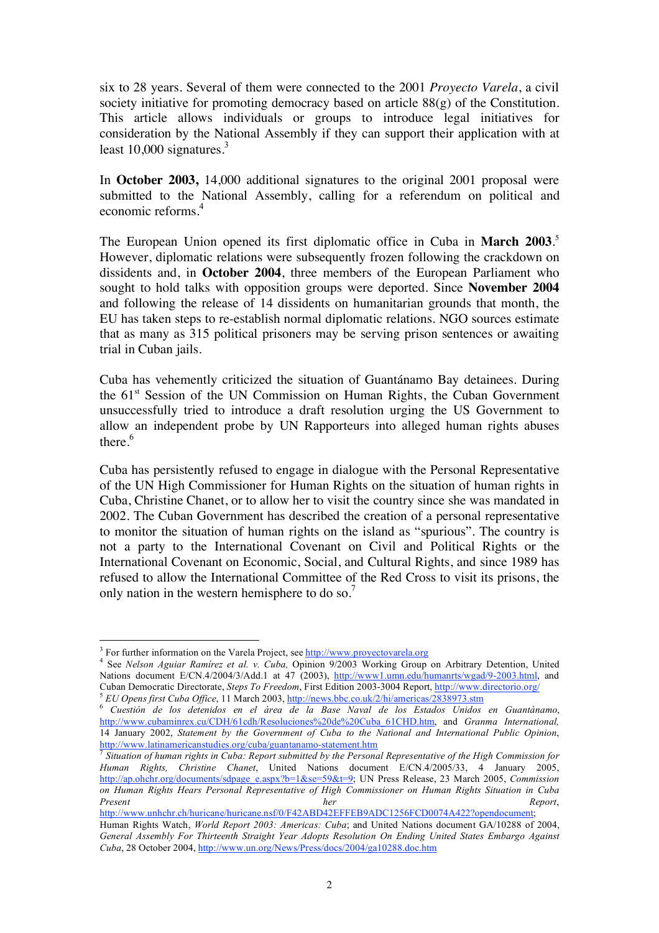six to 28 years. Several of them were connected to the 2001 *Proyecto Varela*, a civil society initiative for promoting democracy based on article 88(g) of the Constitution. This article allows individuals or groups to introduce legal initiatives for consideration by the National Assembly if they can support their application with at least  $10,000$  signatures.<sup>3</sup>

In **October 2003,** 14,000 additional signatures to the original 2001 proposal were submitted to the National Assembly, calling for a referendum on political and economic reforms.<sup>4</sup>

The European Union opened its first diplomatic office in Cuba in **March 2003**. 5 However, diplomatic relations were subsequently frozen following the crackdown on dissidents and, in **October 2004**, three members of the European Parliament who sought to hold talks with opposition groups were deported. Since **November 2004** and following the release of 14 dissidents on humanitarian grounds that month, the EU has taken steps to re-establish normal diplomatic relations. NGO sources estimate that as many as 315 political prisoners may be serving prison sentences or awaiting trial in Cuban jails.

Cuba has vehemently criticized the situation of Guantánamo Bay detainees. During the 61<sup>st</sup> Session of the UN Commission on Human Rights, the Cuban Government unsuccessfully tried to introduce a draft resolution urging the US Government to allow an independent probe by UN Rapporteurs into alleged human rights abuses there.<sup>6</sup>

Cuba has persistently refused to engage in dialogue with the Personal Representative of the UN High Commissioner for Human Rights on the situation of human rights in Cuba, Christine Chanet, or to allow her to visit the country since she was mandated in 2002. The Cuban Government has described the creation of a personal representative to monitor the situation of human rights on the island as "spurious". The country is not a party to the International Covenant on Civil and Political Rights or the International Covenant on Economic, Social, and Cultural Rights, and since 1989 has refused to allow the International Committee of the Red Cross to visit its prisons, the only nation in the western hemisphere to do so.<sup>7</sup>

 $\frac{1}{3}$  $3$  For further information on the Varela Project, see http://www.proyectovarela.org

<sup>&</sup>lt;sup>4</sup> See *Nelson Aguiar Ramírez et al. v. Cuba, Opinion 9/2003 Working Group on Arbitrary Detention*, United Nations document E/CN.4/2004/3/Add.1 at 47 (2003), http://www1.umn.edu/humanrts/wgad/9-2003.html, and<br>Cuban Democratic Directorate, *Steps To Freedom*, First Edition 2003-3004 Report, http://www.directorio.org/

<sup>&</sup>lt;sup>5</sup> EU Opens first Cuba Office, 11 March 2003, http://news.bbc.co.uk/2/hi/americas/2838973.stm<br><sup>6</sup> Cuestión de los detenidos en el área de la Base Naval de los Estados Unidos en Guantánamo, http://www.cubaminrex.cu/CDH/61cdh/Resoluciones%20de%20Cuba\_61CHD.htm, and *Granma International,* 14 January 2002, *Statement by the Government of Cuba to the National and International Public Opinion*,

<sup>&</sup>lt;sup>7</sup> Situation of human rights in Cuba: Report submitted by the Personal Representative of the High Commission for *Human Rights, Christine Chanet*, United Nations document E/CN.4/2005/33, 4 January 2005, http://ap.ohchr.org/documents/sdpage\_e.aspx?b=1&se=59&t=9; UN Press Release, 23 March 2005, *Commission on Human Rights Hears Personal Representative of High Commissioner on Human Rights Situation in Cuba Present her Report*,

http://www.unhchr.ch/huricane/huricane.nsf/0/F42ABD42EFFEB9ADC1256FCD0074A422?opendocument; Human Rights Watch, *World Report 2003: Americas: Cuba*; and United Nations document GA/10288 of 2004,

*General Assembly For Thirteenth Straight Year Adopts Resolution On Ending United States Embargo Against Cuba*, 28 October 2004, http://www.un.org/News/Press/docs/2004/ga10288.doc.htm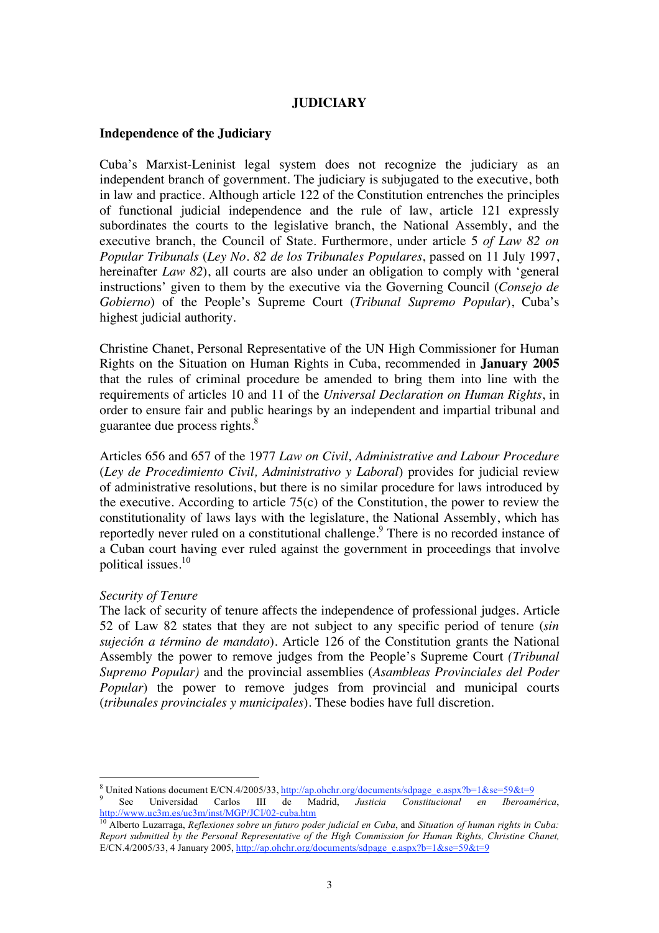## **JUDICIARY**

#### **Independence of the Judiciary**

Cuba's Marxist-Leninist legal system does not recognize the judiciary as an independent branch of government. The judiciary is subjugated to the executive, both in law and practice. Although article 122 of the Constitution entrenches the principles of functional judicial independence and the rule of law, article 121 expressly subordinates the courts to the legislative branch, the National Assembly, and the executive branch, the Council of State. Furthermore, under article 5 *of Law 82 on Popular Tribunals* (*Ley No. 82 de los Tribunales Populares*, passed on 11 July 1997, hereinafter *Law 82*), all courts are also under an obligation to comply with 'general instructions' given to them by the executive via the Governing Council (*Consejo de Gobierno*) of the People's Supreme Court (*Tribunal Supremo Popular*), Cuba's highest judicial authority.

Christine Chanet, Personal Representative of the UN High Commissioner for Human Rights on the Situation on Human Rights in Cuba, recommended in **January 2005** that the rules of criminal procedure be amended to bring them into line with the requirements of articles 10 and 11 of the *Universal Declaration on Human Rights*, in order to ensure fair and public hearings by an independent and impartial tribunal and guarantee due process rights.<sup>8</sup>

Articles 656 and 657 of the 1977 *Law on Civil, Administrative and Labour Procedure* (*Ley de Procedimiento Civil, Administrativo y Laboral*) provides for judicial review of administrative resolutions, but there is no similar procedure for laws introduced by the executive. According to article  $75(c)$  of the Constitution, the power to review the constitutionality of laws lays with the legislature, the National Assembly, which has reportedly never ruled on a constitutional challenge.<sup>9</sup> There is no recorded instance of a Cuban court having ever ruled against the government in proceedings that involve political issues.<sup>10</sup>

#### *Security of Tenure*

The lack of security of tenure affects the independence of professional judges. Article 52 of Law 82 states that they are not subject to any specific period of tenure (*sin sujeción a término de mandato*). Article 126 of the Constitution grants the National Assembly the power to remove judges from the People's Supreme Court *(Tribunal Supremo Popular)* and the provincial assemblies (*Asambleas Provinciales del Poder Popular*) the power to remove judges from provincial and municipal courts (*tribunales provinciales y municipales*). These bodies have full discretion.

8

<sup>&</sup>lt;sup>8</sup> United Nations document E/CN.4/2005/33, <u>http://ap.ohchr.org/documents/sdpage\_e.aspx?b=1&se=59&t=9</u><br>
<sup>9</sup> See Universidad Carlos III de Madrid, *Justicia Constitucional en Iberoamérica*,<br>
http://www.uc3m.es/uc3m/inst/M

http://www.uc3m.es/uc3m/inst/MGP/JCI/02-cuba.htm 10 Alberto Luzarraga, *Reflexiones sobre un futuro poder judicial en Cuba*, and *Situation of human rights in Cuba: Report submitted by the Personal Representative of the High Commission for Human Rights, Christine Chanet,* E/CN.4/2005/33, 4 January 2005, http://ap.ohchr.org/documents/sdpage\_e.aspx?b=1&se=59&t=9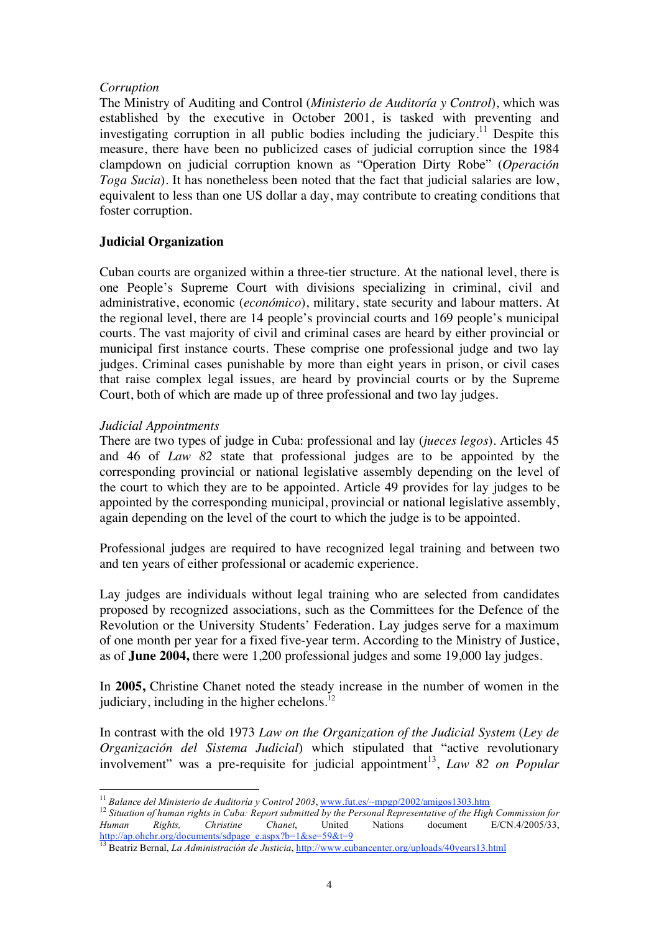## *Corruption*

The Ministry of Auditing and Control (*Ministerio de Auditoría y Control*), which was established by the executive in October 2001, is tasked with preventing and investigating corruption in all public bodies including the judiciary.<sup>11</sup> Despite this measure, there have been no publicized cases of judicial corruption since the 1984 clampdown on judicial corruption known as "Operation Dirty Robe" (*Operación Toga Sucia*). It has nonetheless been noted that the fact that judicial salaries are low, equivalent to less than one US dollar a day, may contribute to creating conditions that foster corruption.

# **Judicial Organization**

Cuban courts are organized within a three-tier structure. At the national level, there is one People's Supreme Court with divisions specializing in criminal, civil and administrative, economic (*económico*), military, state security and labour matters. At the regional level, there are 14 people's provincial courts and 169 people's municipal courts. The vast majority of civil and criminal cases are heard by either provincial or municipal first instance courts. These comprise one professional judge and two lay judges. Criminal cases punishable by more than eight years in prison, or civil cases that raise complex legal issues, are heard by provincial courts or by the Supreme Court, both of which are made up of three professional and two lay judges.

## *Judicial Appointments*

There are two types of judge in Cuba: professional and lay (*jueces legos*). Articles 45 and 46 of *Law 82* state that professional judges are to be appointed by the corresponding provincial or national legislative assembly depending on the level of the court to which they are to be appointed. Article 49 provides for lay judges to be appointed by the corresponding municipal, provincial or national legislative assembly, again depending on the level of the court to which the judge is to be appointed.

Professional judges are required to have recognized legal training and between two and ten years of either professional or academic experience.

Lay judges are individuals without legal training who are selected from candidates proposed by recognized associations, such as the Committees for the Defence of the Revolution or the University Students' Federation. Lay judges serve for a maximum of one month per year for a fixed five-year term. According to the Ministry of Justice, as of **June 2004,** there were 1,200 professional judges and some 19,000 lay judges.

In **2005,** Christine Chanet noted the steady increase in the number of women in the judiciary, including in the higher echelons. $^{12}$ 

In contrast with the old 1973 *Law on the Organization of the Judicial System* (*Ley de Organización del Sistema Judicial*) which stipulated that "active revolutionary involvement" was a pre-requisite for judicial appointment<sup>13</sup>, *Law 82 on Popular* 

<sup>&</sup>lt;sup>11</sup> *Balance del Ministerio de Auditoría y Control 2003*, www.fut.es/~mpgp/2002/amigos1303.htm<br><sup>12</sup> *Situation of human rights in Cuba: Report submitted by the Personal Representative of the High Commission for <i>Human* Ri *Human Rights, Christine Chanet*, United Nations document E/CN.4/2005/33, http://ap.ohchr.org/documents/sdpage\_e.aspx?b=1&se=59&t=9

<sup>13</sup> Beatriz Bernal, *La Administración de Justicia*, http://www.cubancenter.org/uploads/40years13.html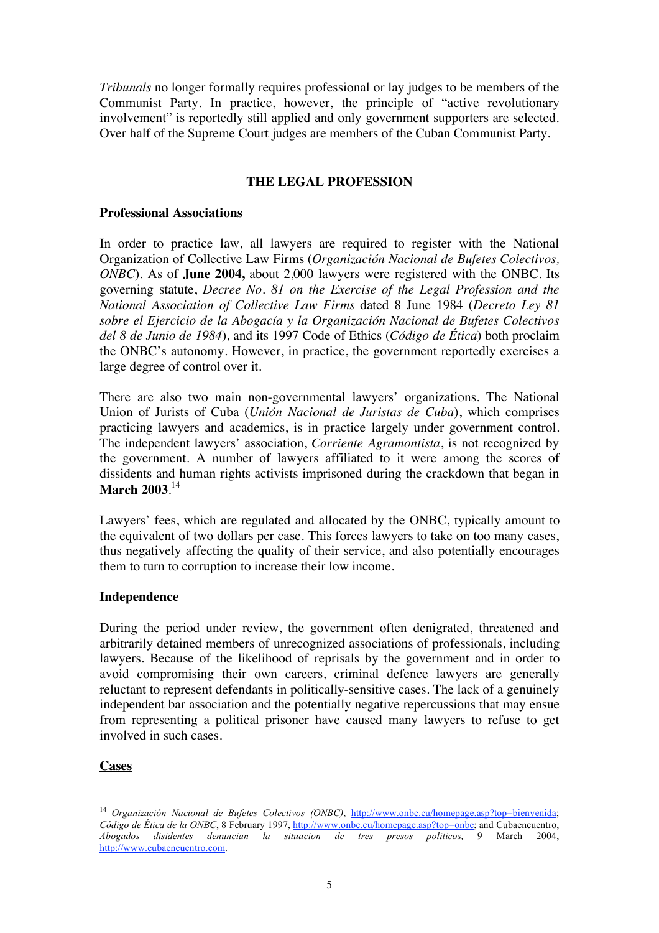*Tribunals* no longer formally requires professional or lay judges to be members of the Communist Party. In practice, however, the principle of "active revolutionary involvement" is reportedly still applied and only government supporters are selected. Over half of the Supreme Court judges are members of the Cuban Communist Party.

## **THE LEGAL PROFESSION**

## **Professional Associations**

In order to practice law, all lawyers are required to register with the National Organization of Collective Law Firms (*Organización Nacional de Bufetes Colectivos, ONBC*). As of **June 2004,** about 2,000 lawyers were registered with the ONBC. Its governing statute, *Decree No. 81 on the Exercise of the Legal Profession and the National Association of Collective Law Firms* dated 8 June 1984 (*Decreto Ley 81 sobre el Ejercicio de la Abogacía y la Organización Nacional de Bufetes Colectivos del 8 de Junio de 1984*), and its 1997 Code of Ethics (*Código de Ética*) both proclaim the ONBC's autonomy. However, in practice, the government reportedly exercises a large degree of control over it.

There are also two main non-governmental lawyers' organizations. The National Union of Jurists of Cuba (*Unión Nacional de Juristas de Cuba*), which comprises practicing lawyers and academics, is in practice largely under government control. The independent lawyers' association, *Corriente Agramontista*, is not recognized by the government. A number of lawyers affiliated to it were among the scores of dissidents and human rights activists imprisoned during the crackdown that began in **March 2003**. 14

Lawyers' fees, which are regulated and allocated by the ONBC, typically amount to the equivalent of two dollars per case. This forces lawyers to take on too many cases, thus negatively affecting the quality of their service, and also potentially encourages them to turn to corruption to increase their low income.

## **Independence**

During the period under review, the government often denigrated, threatened and arbitrarily detained members of unrecognized associations of professionals, including lawyers. Because of the likelihood of reprisals by the government and in order to avoid compromising their own careers, criminal defence lawyers are generally reluctant to represent defendants in politically-sensitive cases. The lack of a genuinely independent bar association and the potentially negative repercussions that may ensue from representing a political prisoner have caused many lawyers to refuse to get involved in such cases.

#### **Cases**

<sup>&</sup>lt;sup>14</sup> Organización Nacional de Bufetes Colectivos (ONBC), http://www.onbc.cu/homepage.asp?top=bienvenida; *Código de Ética de la ONBC*, 8 February 1997, http://www.onbc.cu/homepage.asp?top=onbc; and Cubaencuentro, *Abogados disidentes denuncian la situacion de tres presos politicos,* 9 March 2004, http://www.cubaencuentro.com.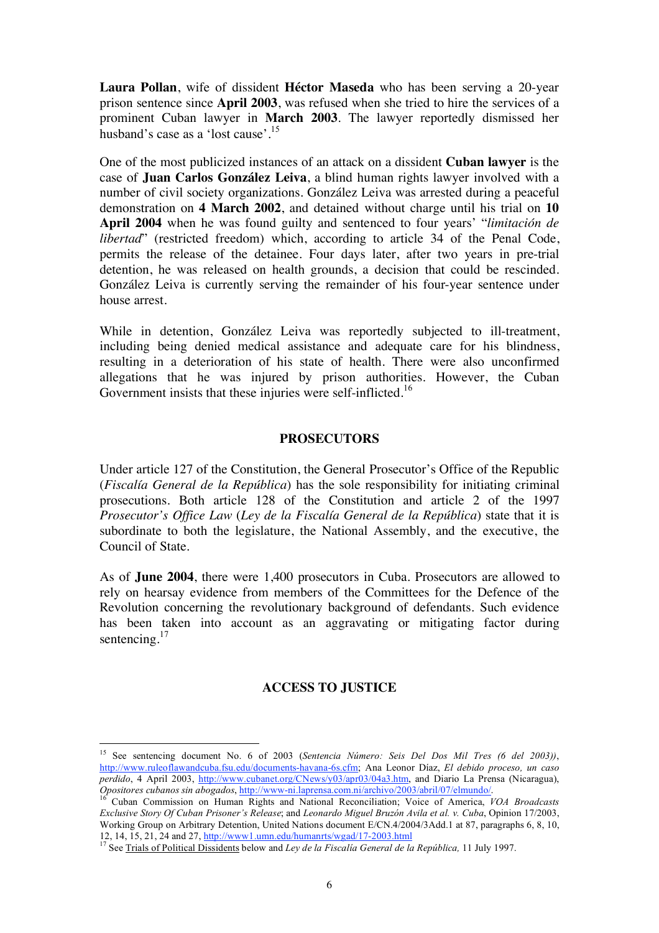**Laura Pollan**, wife of dissident **Héctor Maseda** who has been serving a 20-year prison sentence since **April 2003**, was refused when she tried to hire the services of a prominent Cuban lawyer in **March 2003**. The lawyer reportedly dismissed her husband's case as a 'lost cause'.<sup>15</sup>

One of the most publicized instances of an attack on a dissident **Cuban lawyer** is the case of **Juan Carlos González Leiva**, a blind human rights lawyer involved with a number of civil society organizations. González Leiva was arrested during a peaceful demonstration on **4 March 2002**, and detained without charge until his trial on **10 April 2004** when he was found guilty and sentenced to four years' "*limitación de libertad*" (restricted freedom) which, according to article 34 of the Penal Code, permits the release of the detainee. Four days later, after two years in pre-trial detention, he was released on health grounds, a decision that could be rescinded. González Leiva is currently serving the remainder of his four-year sentence under house arrest.

While in detention, González Leiva was reportedly subjected to ill-treatment, including being denied medical assistance and adequate care for his blindness, resulting in a deterioration of his state of health. There were also unconfirmed allegations that he was injured by prison authorities. However, the Cuban Government insists that these injuries were self-inflicted.<sup>16</sup>

### **PROSECUTORS**

Under article 127 of the Constitution, the General Prosecutor's Office of the Republic (*Fiscalía General de la República*) has the sole responsibility for initiating criminal prosecutions. Both article 128 of the Constitution and article 2 of the 1997 *Prosecutor's Office Law* (*Ley de la Fiscalía General de la República*) state that it is subordinate to both the legislature, the National Assembly, and the executive, the Council of State.

As of **June 2004**, there were 1,400 prosecutors in Cuba. Prosecutors are allowed to rely on hearsay evidence from members of the Committees for the Defence of the Revolution concerning the revolutionary background of defendants. Such evidence has been taken into account as an aggravating or mitigating factor during sentencing.<sup>17</sup>

# **ACCESS TO JUSTICE**

15 See sentencing document No. 6 of 2003 (*Sentencia Número: Seis Del Dos Mil Tres (6 del 2003))*, http://www.ruleoflawandcuba.fsu.edu/documents-havana-6s.cfm; Ana Leonor Díaz, *El debido proceso, un caso perdido*, 4 April 2003, http://www.cubanet.org/CNews/y03/apr03/04a3.htm, and Diario La Prensa (Nicaragua), *Opositores cubanos sin abogados*, http://www-ni.laprensa.com.ni/archivo/2003/abril/07/elmundo/. 16 Cuban Commission on Human Rights and National Reconciliation; Voice of America, *VOA Broadcasts* 

*Exclusive Story Of Cuban Prisoner's Release*; and *Leonardo Miguel Bruzón Avila et al. v. Cuba*, Opinion 17/2003, Working Group on Arbitrary Detention, United Nations document E/CN.4/2004/3Add.1 at 87, paragraphs 6, 8, 10, 12, 14, 15, 21, 24 and 27, http://www1.umn.edu/humanrts/wgad/17-2003.html <sup>17</sup> See Trials of Political Dissidents below and *Ley de la Fiscalía General de la República,* 11 July 1997.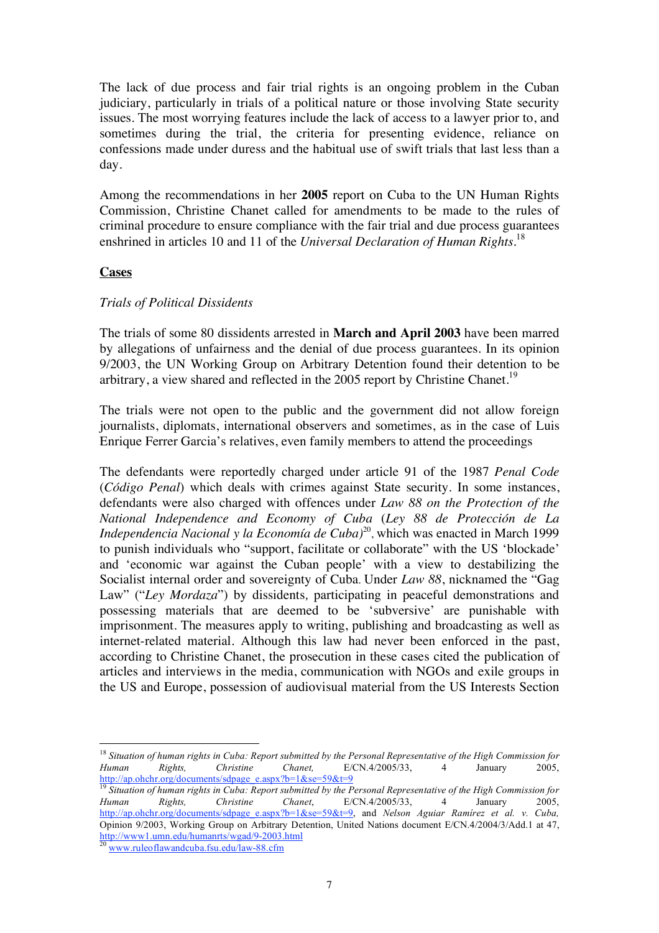The lack of due process and fair trial rights is an ongoing problem in the Cuban judiciary, particularly in trials of a political nature or those involving State security issues. The most worrying features include the lack of access to a lawyer prior to, and sometimes during the trial, the criteria for presenting evidence, reliance on confessions made under duress and the habitual use of swift trials that last less than a day.

Among the recommendations in her **2005** report on Cuba to the UN Human Rights Commission, Christine Chanet called for amendments to be made to the rules of criminal procedure to ensure compliance with the fair trial and due process guarantees enshrined in articles 10 and 11 of the *Universal Declaration of Human Rights*. 18

### **Cases**

## *Trials of Political Dissidents*

The trials of some 80 dissidents arrested in **March and April 2003** have been marred by allegations of unfairness and the denial of due process guarantees. In its opinion 9/2003, the UN Working Group on Arbitrary Detention found their detention to be arbitrary, a view shared and reflected in the 2005 report by Christine Chanet.<sup>19</sup>

The trials were not open to the public and the government did not allow foreign journalists, diplomats, international observers and sometimes, as in the case of Luis Enrique Ferrer Garcia's relatives, even family members to attend the proceedings

The defendants were reportedly charged under article 91 of the 1987 *Penal Code* (*Código Penal*) which deals with crimes against State security. In some instances, defendants were also charged with offences under *Law 88 on the Protection of the National Independence and Economy of Cuba* (*Ley 88 de Protección de La Independencia Nacional y la Economía de Cuba)*20, which was enacted in March 1999 to punish individuals who "support, facilitate or collaborate" with the US 'blockade' and 'economic war against the Cuban people' with a view to destabilizing the Socialist internal order and sovereignty of Cuba. Under *Law 88*, nicknamed the "Gag Law" ("Ley Mordaza") by dissidents, participating in peaceful demonstrations and possessing materials that are deemed to be 'subversive' are punishable with imprisonment. The measures apply to writing, publishing and broadcasting as well as internet-related material. Although this law had never been enforced in the past, according to Christine Chanet, the prosecution in these cases cited the publication of articles and interviews in the media, communication with NGOs and exile groups in the US and Europe, possession of audiovisual material from the US Interests Section

<sup>18</sup> *Situation of human rights in Cuba: Report submitted by the Personal Representative of the High Commission for Human Rights, Christine Chanet,* E/CN.4/2005/33, 4 January 2005, http://ap.ohchr.org/documents/sdpage\_e.aspx?b=1&se=59&t=9

<sup>&</sup>lt;sup>19</sup> Situation of human rights in Cuba: Report submitted by the Personal Representative of the High Commission for *Human Rights, Christine Chanet*, E/CN.4/2005/33, 4 January 2005, http://ap.ohchr.org/documents/sdpage\_e.aspx?b=1&se=59&t=9, and *Nelson Aguiar Ramírez et al. v. Cuba,* Opinion 9/2003, Working Group on Arbitrary Detention, United Nations document E/CN.4/2004/3/Add.1 at 47, http://www1.umn.edu/humanrts/wgad/9-2003.html<br><sup>20</sup> www.ruleoflawandcuba.fsu.edu/law-88.cfm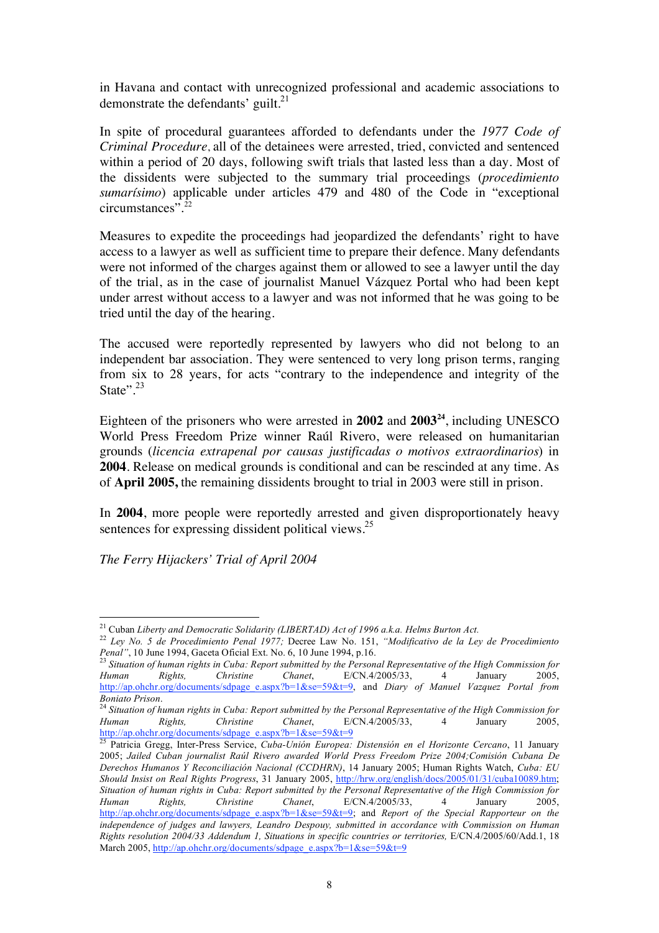in Havana and contact with unrecognized professional and academic associations to demonstrate the defendants' guilt.<sup>21</sup>

In spite of procedural guarantees afforded to defendants under the *1977 Code of Criminal Procedure*, all of the detainees were arrested, tried, convicted and sentenced within a period of 20 days, following swift trials that lasted less than a day. Most of the dissidents were subjected to the summary trial proceedings (*procedimiento sumarísimo*) applicable under articles 479 and 480 of the Code in "exceptional circumstances".<sup>22</sup>

Measures to expedite the proceedings had jeopardized the defendants' right to have access to a lawyer as well as sufficient time to prepare their defence. Many defendants were not informed of the charges against them or allowed to see a lawyer until the day of the trial, as in the case of journalist Manuel Vázquez Portal who had been kept under arrest without access to a lawyer and was not informed that he was going to be tried until the day of the hearing.

The accused were reportedly represented by lawyers who did not belong to an independent bar association. They were sentenced to very long prison terms, ranging from six to 28 years, for acts "contrary to the independence and integrity of the State". $^{23}$ 

Eighteen of the prisoners who were arrested in **2002** and **2003<sup>24</sup>**, including UNESCO World Press Freedom Prize winner Raúl Rivero, were released on humanitarian grounds (*licencia extrapenal por causas justificadas o motivos extraordinarios*) in **2004**. Release on medical grounds is conditional and can be rescinded at any time. As of **April 2005,** the remaining dissidents brought to trial in 2003 were still in prison.

In **2004**, more people were reportedly arrested and given disproportionately heavy sentences for expressing dissident political views.<sup>25</sup>

*The Ferry Hijackers' Trial of April 2004*

*Human Rights, Christine Chanet*, E/CN.4/2005/33, 4 January 2005, http://ap.ohchr.org/documents/sdpage\_e.aspx?b=1&se=59&t=9

21 Cuban *Liberty and Democratic Solidarity (LIBERTAD) Act of 1996 a.k.a. Helms Burton Act.* <sup>22</sup> *Ley No. 5 de Procedimiento Penal 1977;* Decree Law No. 151, *"Modificativo de la Ley de Procedimiento Penal"*, 10 June 1994, Gaceta Oficial Ext. No. 6, 10 June 1994, p.16. <sup>23</sup> *Situation of human rights in Cuba: Report submitted by the Personal Representative of the High Commission for* <sup>23</sup> *Situation of human rights in* 

*Human Rights, Christine Chanet*, E/CN.4/2005/33, 4 January 2005, http://ap.ohchr.org/documents/sdpage\_e.aspx?b=1&se=59&t=9, and *Diary of Manuel Vazquez Portal from Boniato Prison.*<br><sup>24</sup> Situation of human rights in Cuba: Report submitted by the Personal Representative of the High Commission for

<sup>25</sup> Patricia Gregg, Inter-Press Service, *Cuba-Unión Europea: Distensión en el Horizonte Cercano*, 11 January 2005; *Jailed Cuban journalist Raúl Rivero awarded World Press Freedom Prize 2004;Comisión Cubana De Derechos Humanos Y Reconciliación Nacional (CCDHRN)*, 14 January 2005; Human Rights Watch, *Cuba: EU Should Insist on Real Rights Progress*, 31 January 2005, http://hrw.org/english/docs/2005/01/31/cuba10089.htm; *Situation of human rights in Cuba: Report submitted by the Personal Representative of the High Commission for Human Rights, Christine Chanet*, E/CN.4/2005/33, 4 January 2005, http://ap.ohchr.org/documents/sdpage\_e.aspx?b=1&se=59&t=9; and *Report of the Special Rapporteur on the independence of judges and lawyers, Leandro Despouy, submitted in accordance with Commission on Human Rights resolution 2004/33 Addendum 1, Situations in specific countries or territories,* E/CN.4/2005/60/Add.1, 18 March 2005, http://ap.ohchr.org/documents/sdpage\_e.aspx?b=1&se=59&t=9